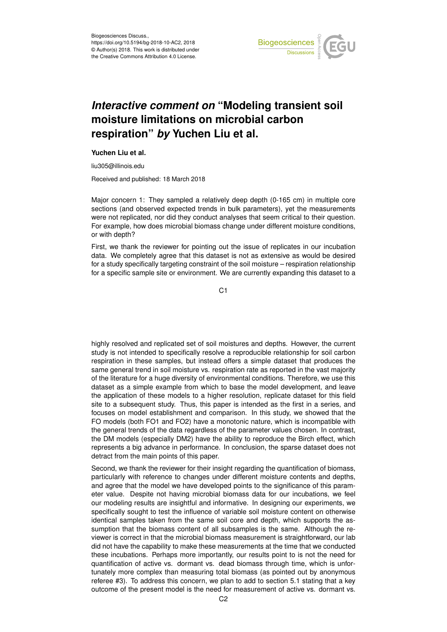

## *Interactive comment on* **"Modeling transient soil moisture limitations on microbial carbon respiration"** *by* **Yuchen Liu et al.**

## **Yuchen Liu et al.**

liu305@illinois.edu

Received and published: 18 March 2018

Major concern 1: They sampled a relatively deep depth (0-165 cm) in multiple core sections (and observed expected trends in bulk parameters), yet the measurements were not replicated, nor did they conduct analyses that seem critical to their question. For example, how does microbial biomass change under different moisture conditions, or with depth?

First, we thank the reviewer for pointing out the issue of replicates in our incubation data. We completely agree that this dataset is not as extensive as would be desired for a study specifically targeting constraint of the soil moisture – respiration relationship for a specific sample site or environment. We are currently expanding this dataset to a

C1

highly resolved and replicated set of soil moistures and depths. However, the current study is not intended to specifically resolve a reproducible relationship for soil carbon respiration in these samples, but instead offers a simple dataset that produces the same general trend in soil moisture vs. respiration rate as reported in the vast majority of the literature for a huge diversity of environmental conditions. Therefore, we use this dataset as a simple example from which to base the model development, and leave the application of these models to a higher resolution, replicate dataset for this field site to a subsequent study. Thus, this paper is intended as the first in a series, and focuses on model establishment and comparison. In this study, we showed that the FO models (both FO1 and FO2) have a monotonic nature, which is incompatible with the general trends of the data regardless of the parameter values chosen. In contrast, the DM models (especially DM2) have the ability to reproduce the Birch effect, which represents a big advance in performance. In conclusion, the sparse dataset does not detract from the main points of this paper.

Second, we thank the reviewer for their insight regarding the quantification of biomass, particularly with reference to changes under different moisture contents and depths, and agree that the model we have developed points to the significance of this parameter value. Despite not having microbial biomass data for our incubations, we feel our modeling results are insightful and informative. In designing our experiments, we specifically sought to test the influence of variable soil moisture content on otherwise identical samples taken from the same soil core and depth, which supports the assumption that the biomass content of all subsamples is the same. Although the reviewer is correct in that the microbial biomass measurement is straightforward, our lab did not have the capability to make these measurements at the time that we conducted these incubations. Perhaps more importantly, our results point to is not the need for quantification of active vs. dormant vs. dead biomass through time, which is unfortunately more complex than measuring total biomass (as pointed out by anonymous referee #3). To address this concern, we plan to add to section 5.1 stating that a key outcome of the present model is the need for measurement of active vs. dormant vs.